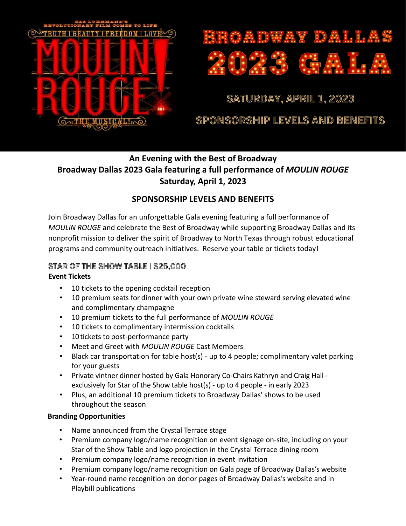

# **GADWAY DALLA**

# **SATURDAY, APRIL 1, 2023**

# **SPONSORSHIP LEVELS AND BENEFITS**

# **An Evening with the Best of Broadway Broadway Dallas 2023 Gala featuring a full performance of** *MOULIN ROUGE*  **Saturday, April 1, 2023**

## **SPONSORSHIP LEVELS AND BENEFITS**

Join Broadway Dallas for an unforgettable Gala evening featuring a full performance of *MOULIN ROUGE* and celebrate the Best of Broadway while supporting Broadway Dallas and its nonprofit mission to deliver the spirit of Broadway to North Texas through robust educational programs and community outreach initiatives. Reserve your table or tickets today!

## **STAR OF THE SHOW TABLE | \$25,000**

## **Event Tickets**

- 10 tickets to the opening cocktail reception
- 10 premium seats for dinner with your own private wine steward serving elevated wine and complimentary champagne
- 10 premium tickets to the full performance of *MOULIN ROUGE*
- 10 tickets to complimentary intermission cocktails
- 10tickets to post-performance party
- Meet and Greet with *MOULIN ROUGE* Cast Members
- Black car transportation for table host(s) up to 4 people; complimentary valet parking for your guests
- Private vintner dinner hosted by Gala Honorary Co-Chairs Kathryn and Craig Hall exclusively for Star of the Show table host(s) - up to 4 people - in early 2023
- Plus, an additional 10 premium tickets to Broadway Dallas' shows to be used throughout the season

## **Branding Opportunities**

- Name announced from the Crystal Terrace stage
- Premium company logo/name recognition on event signage on-site, including on your Star of the Show Table and logo projection in the Crystal Terrace dining room
- Premium company logo/name recognition in event invitation
- Premium company logo/name recognition on Gala page of Broadway Dallas's website
- Year-round name recognition on donor pages of Broadway Dallas's website and in Playbill publications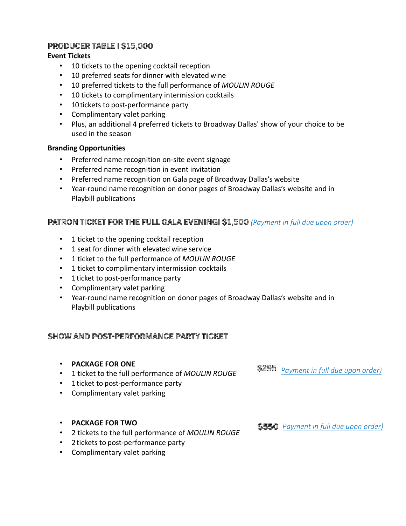#### **PRODUCER TABLE | \$15,000**

#### **Event Tickets**

- 10 tickets to the opening cocktail reception
- 10 preferred seats for dinner with elevated wine
- 10 preferred tickets to the full performance of *MOULIN ROUGE*
- 10 tickets to complimentary intermission cocktails
- 10 tickets to post-performance party
- Complimentary valet parking
- Plus, an additional 4 preferred tickets to Broadway Dallas' show of your choice to be used in the season

#### **Branding Opportunities**

- Preferred name recognition on-site event signage
- Preferred name recognition in event invitation
- Preferred name recognition on Gala page of Broadway Dallas's website
- Year-round name recognition on donor pages of Broadway Dallas's website and in Playbill publications

### **PATRON TICKET for the full gala evening| \$1,500** *(Payment in full due upon order)*

- 1 ticket to the opening cocktail reception
- 1 seat for dinner with elevated wine service
- 1 ticket to the full performance of *MOULIN ROUGE*
- 1 ticket to complimentary intermission cocktails
- 1 ticket to post-performance party
- Complimentary valet parking
- Year-round name recognition on donor pages of Broadway Dallas's website and in Playbill publications

#### **SHOW AND POST-PERFORMANCE PARTY TICKET**

- **PACKAGE FOR ONE**
- 1 ticket to the full performance of *MOULIN ROUGE*
- 1 ticket to post-performance party
- Complimentary valet parking
- **PACKAGE FOR TWO**
- 2 tickets to the full performance of *MOULIN ROUGE*
- 2tickets to post-performance party
- Complimentary valet parking

*Payment in full due upon order)*

*Payment in full due upon order)*